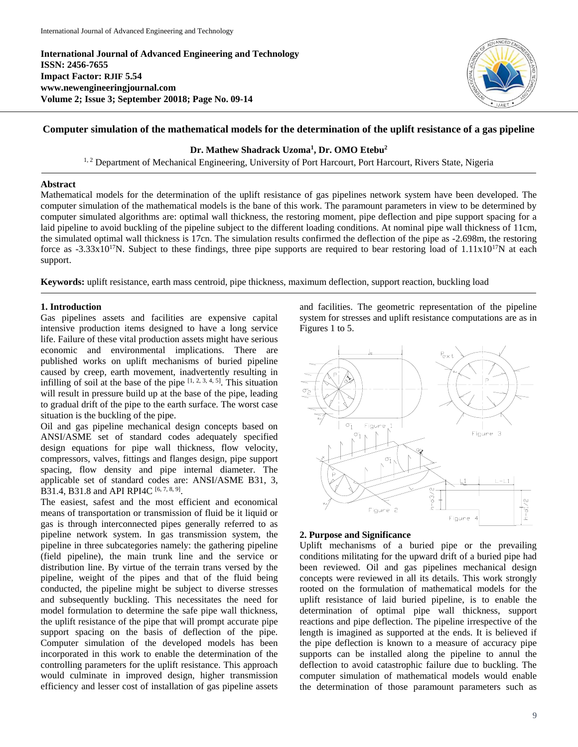**International Journal of Advanced Engineering and Technology ISSN: 2456-7655 Impact Factor: RJIF 5.54 www.newengineeringjournal.com Volume 2; Issue 3; September 20018; Page No. 09-14**



# **Computer simulation of the mathematical models for the determination of the uplift resistance of a gas pipeline**

# **Dr. Mathew Shadrack Uzoma<sup>1</sup> , Dr. OMO Etebu<sup>2</sup>**

<sup>1, 2</sup> Department of Mechanical Engineering, University of Port Harcourt, Port Harcourt, Rivers State, Nigeria

### **Abstract**

Mathematical models for the determination of the uplift resistance of gas pipelines network system have been developed. The computer simulation of the mathematical models is the bane of this work. The paramount parameters in view to be determined by computer simulated algorithms are: optimal wall thickness, the restoring moment, pipe deflection and pipe support spacing for a laid pipeline to avoid buckling of the pipeline subject to the different loading conditions. At nominal pipe wall thickness of 11cm, the simulated optimal wall thickness is 17cn. The simulation results confirmed the deflection of the pipe as -2.698m, the restoring force as  $-3.33x10^{17}N$ . Subject to these findings, three pipe supports are required to bear restoring load of  $1.11x10^{17}N$  at each support.

**Keywords:** uplift resistance, earth mass centroid, pipe thickness, maximum deflection, support reaction, buckling load

# **1. Introduction**

Gas pipelines assets and facilities are expensive capital intensive production items designed to have a long service life. Failure of these vital production assets might have serious economic and environmental implications. There are published works on uplift mechanisms of buried pipeline caused by creep, earth movement, inadvertently resulting in infilling of soil at the base of the pipe  $[1, 2, 3, 4, 5]$ . This situation will result in pressure build up at the base of the pipe, leading to gradual drift of the pipe to the earth surface. The worst case situation is the buckling of the pipe.

Oil and gas pipeline mechanical design concepts based on ANSI/ASME set of standard codes adequately specified design equations for pipe wall thickness, flow velocity, compressors, valves, fittings and flanges design, pipe support spacing, flow density and pipe internal diameter. The applicable set of standard codes are: ANSI/ASME B31, 3, B31.4, B31.8 and API RPI4C  $[6, 7, 8, 9]$ .

The easiest, safest and the most efficient and economical means of transportation or transmission of fluid be it liquid or gas is through interconnected pipes generally referred to as pipeline network system. In gas transmission system, the pipeline in three subcategories namely: the gathering pipeline (field pipeline), the main trunk line and the service or distribution line. By virtue of the terrain trans versed by the pipeline, weight of the pipes and that of the fluid being conducted, the pipeline might be subject to diverse stresses and subsequently buckling. This necessitates the need for model formulation to determine the safe pipe wall thickness, the uplift resistance of the pipe that will prompt accurate pipe support spacing on the basis of deflection of the pipe. Computer simulation of the developed models has been incorporated in this work to enable the determination of the controlling parameters for the uplift resistance. This approach would culminate in improved design, higher transmission efficiency and lesser cost of installation of gas pipeline assets

and facilities. The geometric representation of the pipeline system for stresses and uplift resistance computations are as in Figures 1 to 5.



#### **2. Purpose and Significance**

Uplift mechanisms of a buried pipe or the prevailing conditions militating for the upward drift of a buried pipe had been reviewed. Oil and gas pipelines mechanical design concepts were reviewed in all its details. This work strongly rooted on the formulation of mathematical models for the uplift resistance of laid buried pipeline, is to enable the determination of optimal pipe wall thickness, support reactions and pipe deflection. The pipeline irrespective of the length is imagined as supported at the ends. It is believed if the pipe deflection is known to a measure of accuracy pipe supports can be installed along the pipeline to annul the deflection to avoid catastrophic failure due to buckling. The computer simulation of mathematical models would enable the determination of those paramount parameters such as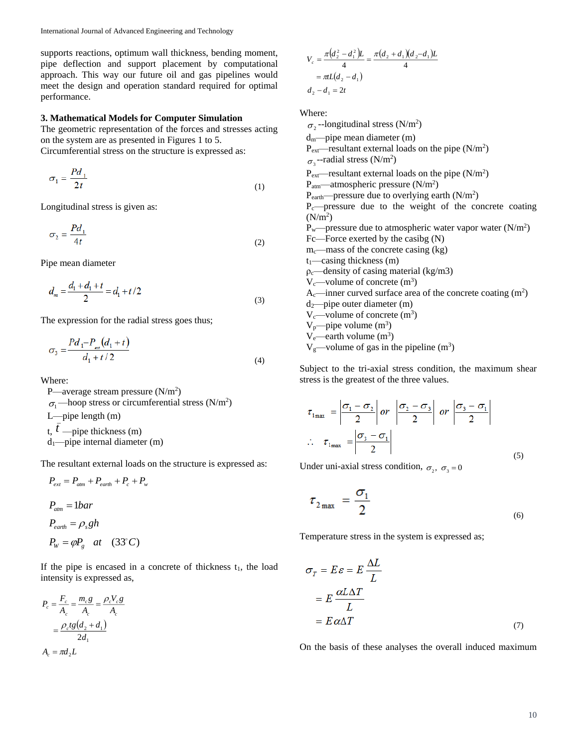supports reactions, optimum wall thickness, bending moment, pipe deflection and support placement by computational approach. This way our future oil and gas pipelines would meet the design and operation standard required for optimal performance.

#### **3. Mathematical Models for Computer Simulation**

The geometric representation of the forces and stresses acting on the system are as presented in Figures 1 to 5. Circumferential stress on the structure is expressed as:

$$
\sigma_1 = \frac{Pd_1}{2t} \tag{1}
$$

Longitudinal stress is given as:

$$
\sigma_2 = \frac{P d_1}{4t} \tag{2}
$$

Pipe mean diameter

$$
d_m = \frac{d_1 + d_1 + t}{2} = d_1 + t/2
$$
\n(3)

The expression for the radial stress goes thus;

$$
\sigma_3 = \frac{P d_1 - P_{ee}(d_1 + t)}{d_1 + t/2}
$$
\n(4)

Where:

P—average stream pressure  $(N/m^2)$  $\sigma_1$ —hoop stress or circumferential stress (N/m<sup>2</sup>) L—pipe length (m) t,  $\bar{t}$  —pipe thickness (m)  $d_1$ —pipe internal diameter (m)

The resultant external loads on the structure is expressed as:

$$
P_{ext} = P_{atm} + P_{earth} + P_c + P_w
$$
  
\n
$$
P_{atm} = 1bar
$$
  
\n
$$
P_{earth} = \rho_s gh
$$
  
\n
$$
P_w = \varphi P_g \quad at \quad (33^{\circ}C)
$$

If the pipe is encased in a concrete of thickness  $t_1$ , the load intensity is expressed as,

$$
P_c = \frac{F_c}{A_c} = \frac{m_c g}{A_c} = \frac{\rho_c V_c g}{A_c}
$$

$$
= \frac{\rho_c t g (d_2 + d_1)}{2d_1}
$$

$$
A_c = \pi d_2 L
$$

*c*

$$
V_c = \frac{\pi (d_2^2 - d_1^2)L}{4} = \frac{\pi (d_2 + d_1)(d_2 - d_1)L}{4}
$$
  
=  $\pi L(d_2 - d_1)$   
 $d_2 - d_1 = 2t$ 

Where:

 $\sigma_2$ --longitudinal stress (N/m<sup>2</sup>) dm—pipe mean diameter (m)  $P_{ext}$ —resultant external loads on the pipe (N/m<sup>2</sup>)  $\sigma_3$ --radial stress (N/m<sup>2</sup>)  $P_{ext}$ —resultant external loads on the pipe (N/m<sup>2</sup>)  $P_{\text{atm}}$ —atmospheric pressure (N/m<sup>2</sup>)  $P<sub>earth</sub>$ -pressure due to overlying earth ( $N/m<sup>2</sup>$ )  $P_c$ —pressure due to the weight of the concrete coating  $(N/m<sup>2</sup>)$  $P_{w}$ —pressure due to atmospheric water vapor water (N/m<sup>2</sup>) Fc—Force exerted by the casibg (N)  $m_c$ —mass of the concrete casing (kg)  $t_1$ —casing thickness (m)  $p_c$ —density of casing material (kg/m3)  $V_c$ —volume of concrete  $(m^3)$ A<sub>c</sub>—inner curved surface area of the concrete coating  $(m^2)$  $d_2$ —pipe outer diameter (m)  $V_c$ —volume of concrete  $(m^3)$  $V_p$ —pipe volume  $(m^3)$  $V_e$ —earth volume  $(m^3)$  $V_g$ —volume of gas in the pipeline (m<sup>3</sup>)

Subject to the tri-axial stress condition, the maximum shear stress is the greatest of the three values.

$$
\tau_{1_{\max}} = \left| \frac{\sigma_1 - \sigma_2}{2} \right| \text{ or } \left| \frac{\sigma_2 - \sigma_3}{2} \right| \text{ or } \left| \frac{\sigma_3 - \sigma_1}{2} \right|
$$
\n
$$
\therefore \quad \tau_{1_{\max}} = \left| \frac{\sigma_3 - \sigma_1}{2} \right| \tag{5}
$$

Under uni-axial stress condition,  $\sigma_2$ ,  $\sigma_3 = 0$ 

$$
\tau_{2\max} = \frac{\sigma_1}{2} \tag{6}
$$

Temperature stress in the system is expressed as;

$$
\sigma_T = E \varepsilon = E \frac{\Delta L}{L}
$$
  
=  $E \frac{\alpha L \Delta T}{L}$   
=  $E \alpha \Delta T$  (7)

On the basis of these analyses the overall induced maximum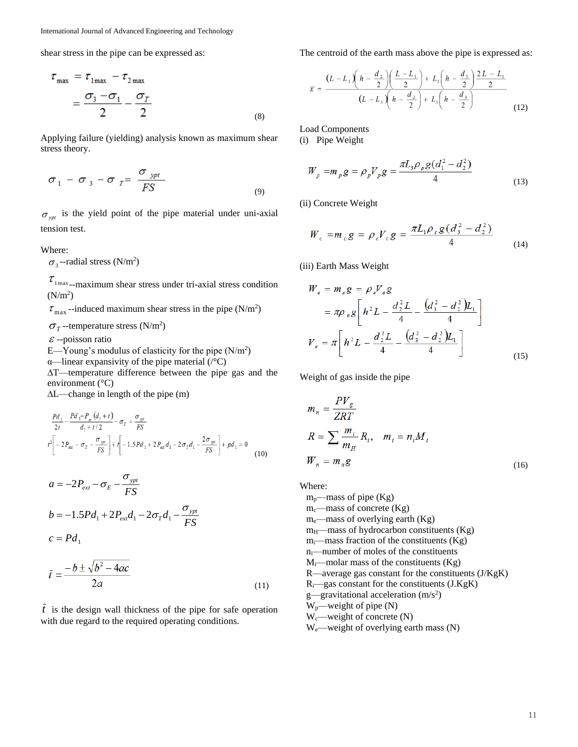shear stress in the pipe can be expressed as:

$$
\tau_{\text{max}} = \tau_{1\text{max}} - \tau_{2\text{max}}
$$

$$
= \frac{\sigma_3 - \sigma_1}{2} - \frac{\sigma_T}{2}
$$
(8)

Applying failure (yielding) analysis known as maximum shear stress theory.

$$
\sigma_1 - \sigma_3 - \sigma_T = \frac{\sigma_{ypt}}{FS}
$$
 (9)

 $\sigma_{\gamma p t}$  is the yield point of the pipe material under uni-axial tension test.

Where:

 $\sigma_3$ --radial stress (N/m<sup>2</sup>)

 $\tau_{1\text{max}}$ -maximum shear stress under tri-axial stress condition  $(N/m<sup>2</sup>)$ 

 $\tau_{\text{max}}$ -induced maximum shear stress in the pipe (N/m<sup>2</sup>)

 $\sigma_{\tau}$ --temperature stress (N/m<sup>2</sup>)

 $\varepsilon$  --poisson ratio

- $E$ —Young's modulus of elasticity for the pipe (N/m<sup>2</sup>)
- α—linear expansivity of the pipe material (/°C)

∆T—temperature difference between the pipe gas and the environment (°C)

∆L—change in length of the pipe (m)

$$
\frac{Pd_1}{2t} - \frac{Pd_1 - P_{\text{ref}}(d_1 + t)}{d_1 + t/2} - \sigma_T = \frac{\sigma_{\text{opt}}}{FS}
$$
\n
$$
t^2 \left[ -2P_{\text{ref}} - \sigma_T - \frac{\sigma_{\text{opt}}}{FS} \right] + t \left[ -1.5Pd_1 + 2P_{\text{ext}}d_1 - 2\sigma_Td_1 - \frac{2\sigma_{\text{opt}}}{FS} \right] + pd_1 = 0
$$
\n(10)

$$
a = -2P_{ext} - \sigma_E - \frac{\sigma_{ypt}}{FS}
$$
  
\n
$$
b = -1.5Pd_1 + 2P_{ext}d_1 - 2\sigma_Td_1 - \frac{\sigma_{ypt}}{FS}
$$
  
\n
$$
c = Pd_1
$$
  
\n
$$
c = b \pm \sqrt{b^2 - 4ac}
$$

$$
l = \frac{2a}{}
$$
 (11)

*t* is the design wall thickness of the pipe for safe operation with due regard to the required operating conditions.

The centroid of the earth mass above the pipe is expressed as:

$$
\overline{x} = \frac{(L - L_1) \left(h - \frac{d_2}{2}\right) \left(\frac{L - L_1}{2}\right) + L_1 \left(h - \frac{d_3}{2}\right) \frac{2L - L_1}{2}}{(L - L_1) \left(h - \frac{d_2}{2}\right) + L_1 \left(h - \frac{d_3}{2}\right)}
$$
(12)

Load Components

(i) Pipe Weight

$$
W_p = m_p g = \rho_p V_p g = \frac{\pi L_3 \rho_p g (d_1^2 - d_2^2)}{4}
$$
\n(13)

(ii) Concrete Weight

$$
W_c = m_c g = \rho_c V_c g = \frac{\pi L_1 \rho_c g (d_3^2 - d_2^2)}{4}
$$
 (14)

(iii) Earth Mass Weight

$$
W_e = m_e g = \rho_e V_e g
$$
  
=  $\pi \rho_e g \left[ h^2 L - \frac{d_2^2 L}{4} - \frac{(d_3^2 - d_2^2) L_1}{4} \right]$   

$$
V_e = \pi \left[ h^2 L - \frac{d_2^2 L}{4} - \frac{(d_3^2 - d_2^2) L_1}{4} \right]
$$
 (15)

Weight of gas inside the pipe

$$
m_n = \frac{PV_g}{ZRT}
$$
  
\n
$$
R = \sum \frac{m_i}{m_H} R_i, \quad m_i = n_i M_i
$$
  
\n
$$
W_n = m_n g
$$
 (16)

Where:

 $m_p$ —mass of pipe (Kg)  $m_c$ —mass of concrete (Kg) me—mass of overlying earth (Kg)  $m<sub>H</sub>$ —mass of hydrocarbon constituents (Kg) mi—mass fraction of the constituents (Kg) ni—number of moles of the constituents  $M_i$ —molar mass of the constituents (Kg) R—average gas constant for the constituents (J/KgK) Ri—gas constant for the constituents (J.KgK) g—gravitational acceleration  $(m/s<sup>2</sup>)$  $W_p$ —weight of pipe  $(N)$  $W_c$ —weight of concrete  $(N)$ We—weight of overlying earth mass (N)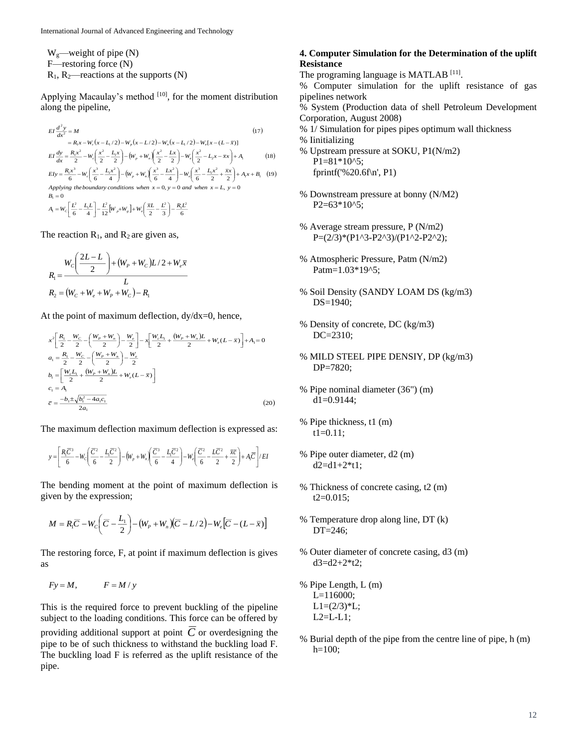Wg—weight of pipe (N) F—restoring force (N)

 $R_1$ ,  $R_2$ —reactions at the supports (N)

Applying Macaulay's method [10], for the moment distribution along the pipeline,

$$
EI \frac{d^2 y}{dx^2} = M
$$
\n
$$
= R_1 x - W_c (x - L_1/2) - W_p (x - L/2) - W_n (x - L_1/2) - W_c (x - (L - \bar{x}))
$$
\n
$$
EI \frac{dy}{dx} = \frac{R_1 x^2}{2} - W_c \left(\frac{x^2}{2} - \frac{L_1 x}{2}\right) - \left(W_p + W_n\right) \left(\frac{x^2}{2} - \frac{Lx}{2}\right) - W_c \left(\frac{x^2}{2} - L_2 x - \bar{x}x\right) + A_1
$$
\n
$$
EIy = \frac{R_1 x^3}{6} - W_c \left(\frac{x^3}{6} - \frac{L_1 x^2}{4}\right) - \left(W_p + W_n\right) \left(\frac{x^3}{6} - \frac{L_1 x^2}{4}\right) - W_c \left(\frac{x^3}{6} - \frac{L_1 x^2}{2} + \frac{\bar{x}x}{2}\right) + A_1 x + B_1
$$
\n
$$
Applying the boundary conditions when x = 0, y = 0 and when x = L, y = 0
$$
\n
$$
B_1 = 0
$$
\n
$$
A_1 = W_c \left[\frac{L^2}{6} - \frac{L_1 L}{4}\right] - \frac{L^2}{12} \left[W_p + W_s\right] + W_c \left(\frac{\bar{x}L}{2} - \frac{L^2}{3}\right) - \frac{R_1 L^2}{6}
$$
\n(17)

The reaction  $R_1$ , and  $R_2$  are given as,

$$
R_1 = \frac{W_c \left(\frac{2L - L}{2}\right) + (W_p + W_c)L/2 + W_e \overline{x}}{L}
$$
  

$$
R_2 = (W_c + W_e + W_p + W_c) - R_1
$$

At the point of maximum deflection,  $dy/dx=0$ , hence,

$$
x^{2}\left[\frac{R_{1}}{2} - \frac{W_{C}}{2} - \left(\frac{W_{P} + W_{n}}{2}\right) - \frac{W_{c}}{2}\right] - x\left[\frac{W_{c}L_{1}}{2} + \frac{(W_{P} + W_{n})L}{2} + W_{c}(L - \overline{x})\right] + A_{1} = 0
$$
  
\n
$$
a_{1} = \frac{R_{1}}{2} - \frac{W_{C}}{2} - \left(\frac{W_{P} + W_{n}}{2}\right) - \frac{W_{c}}{2}
$$
  
\n
$$
b_{1} = \left[\frac{W_{c}L_{1}}{2} + \frac{(W_{P} + W_{n})L}{2} + W_{c}(L - \overline{x})\right]
$$
  
\n
$$
c_{1} = A_{1}
$$
  
\n
$$
\overline{c} = \frac{-b_{1} \pm \sqrt{b_{1}^{2} - 4a_{1}c_{1}}}{2a_{1}}
$$
\n(20)

The maximum deflection maximum deflection is expressed as:

$$
y = \left[\frac{R_1\overline{C}^3}{6} - W_c\left(\frac{\overline{C}^2}{6} - \frac{L_1\overline{C}^2}{2}\right) - \left(W_p + W_n\left(\frac{\overline{C}^3}{6} - \frac{L_1\overline{C}^2}{4}\right) - W_c\left(\frac{\overline{C}^2}{6} - \frac{L\overline{C}^2}{2} + \frac{\overline{xc}}{2}\right) + A_1\overline{C}\right]/EI
$$

The bending moment at the point of maximum deflection is given by the expression;

$$
M = R_1 \overline{C} - W_c \left( \overline{C} - \frac{L_1}{2} \right) - (W_p + W_n) \left( \overline{C} - L/2 \right) - W_e \left[ \overline{C} - (L - \overline{x}) \right]
$$

The restoring force, F, at point if maximum deflection is gives as

$$
Fy = M, \qquad F = M/y
$$

This is the required force to prevent buckling of the pipeline subject to the loading conditions. This force can be offered by providing additional support at point *C* or overdesigning the pipe to be of such thickness to withstand the buckling load F. The buckling load F is referred as the uplift resistance of the pipe.

#### **4. Computer Simulation for the Determination of the uplift Resistance**

The programing language is MATLAB<sup>[11]</sup>.

% Computer simulation for the uplift resistance of gas pipelines network

% System (Production data of shell Petroleum Development Corporation, August 2008)

- % 1/ Simulation for pipes pipes optimum wall thickness % Iinitializing
- % Upstream pressure at SOKU, P1(N/m2)  $P1=81*10^{6}$ ; fprintf('%20.6f\n', P1)
- % Downstream pressure at bonny (N/M2) P<sub>2</sub>=63\*10^5;
- % Average stream pressure, P (N/m2) P=(2/3)\*(P1^3-P2^3)/(P1^2-P2^2);
- % Atmospheric Pressure, Patm (N/m2) Patm=1.03\*19^5;
- % Soil Density (SANDY LOAM DS (kg/m3) DS=1940;
- % Density of concrete, DC (kg/m3) DC=2310;
- % MILD STEEL PIPE DENSIY, DP (kg/m3) DP=7820;
- % Pipe nominal diameter (36") (m)  $dl = 0.9144;$
- % Pipe thickness, t1 (m)  $t1=0.11$ ;
- % Pipe outer diameter, d2 (m)  $d2=d1+2*t1;$
- % Thickness of concrete casing, t2 (m)  $t2=0.015$ ;
- % Temperature drop along line, DT (k) DT=246;
- % Outer diameter of concrete casing, d3 (m)  $d3 = d2 + 2*t2$ ;
- % Pipe Length, L (m) L=116000;  $L1=(2/3)*L;$  $L2=L-L1$ ;
- % Burial depth of the pipe from the centre line of pipe, h (m)  $h=100;$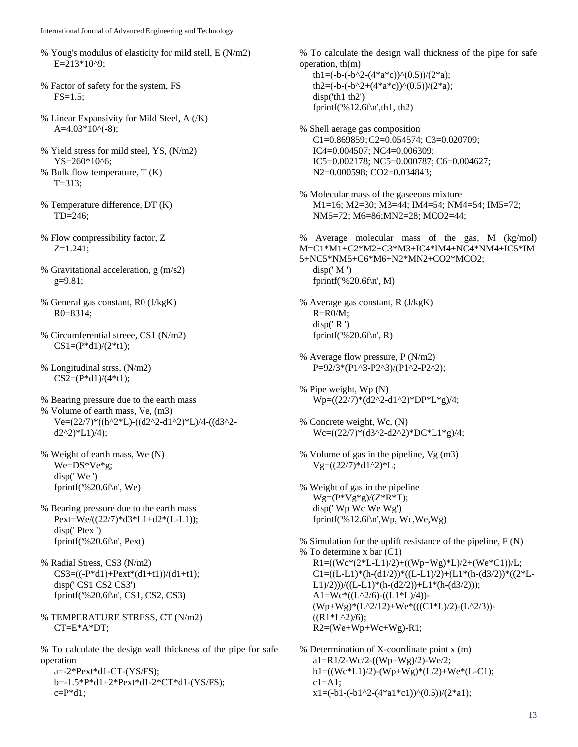- % Youg's modulus of elasticity for mild stell, E (N/m2) E=213\*10^9;
- % Factor of safety for the system, FS  $FS = 1.5$ ;
- % Linear Expansivity for Mild Steel, A (/K)  $A=4.03*10^(-8);$
- % Yield stress for mild steel, YS, (N/m2) YS=260\*10^6;
- % Bulk flow temperature, T (K) T=313;
- % Temperature difference, DT (K) TD=246;
- % Flow compressibility factor, Z Z=1.241;
- % Gravitational acceleration, g (m/s2)  $g=9.81;$
- % General gas constant, R0 (J/kgK) R0=8314;
- % Circumferential streee, CS1 (N/m2)  $CS1=(P*d1)/(2*t1);$
- % Longitudinal strss, (N/m2)  $CS2=(P*d1)/(4*t1);$
- % Bearing pressure due to the earth mass % Volume of earth mass, Ve, (m3) Ve=(22/7)\*((h^2\*L)-((d2^2-d1^2)\*L)/4-((d3^2  $d2^{2}\frac{2}{1}$   $L1$   $/4$  );
- % Weight of earth mass, We (N) We=DS\*Ve\*g; disp(' We ') fprintf('%20.6f\n', We)
- % Bearing pressure due to the earth mass Pext=We/((22/7)\*d3\*L1+d2\*(L-L1)); disp(' Ptex ') fprintf('%20.6f\n', Pext)
- % Radial Stress, CS3 (N/m2)  $CS3=((-P*d1)+Pext*(d1+t1))/(d1+t1);$ disp(' CS1 CS2 CS3') fprintf('%20.6f\n', CS1, CS2, CS3)
- % TEMPERATURE STRESS, CT (N/m2) CT=E\*A\*DT;

% To calculate the design wall thickness of the pipe for safe operation

 $a=-2*Pext*d1-CT-(YS/FS);$ b=-1.5\*P\*d1+2\*Pext\*d1-2\*CT\*d1-(YS/FS);  $c = P^*d1;$ 

% To calculate the design wall thickness of the pipe for safe operation, th(m)

th1=(-b-(-b^2-(4\*a\*c))^(0.5))/(2\*a); th2=(-b-(-b^2+(4\*a\*c))^(0.5))/(2\*a); disp('th1 th2') fprintf('%12.6f\n',th1, th2)

- % Shell aerage gas composition C1=0.869859;C2=0.054574; C3=0.020709; IC4=0.004507; NC4=0.006309; IC5=0.002178; NC5=0.000787; C6=0.004627; N2=0.000598; CO2=0.034843;
- % Molecular mass of the gaseeous mixture M1=16; M2=30; M3=44; IM4=54; NM4=54; IM5=72; NM5=72; M6=86;MN2=28; MCO2=44;

% Average molecular mass of the gas, M (kg/mol) M=C1\*M1+C2\*M2+C3\*M3+IC4\*IM4+NC4\*NM4+IC5\*IM 5+NC5\*NM5+C6\*M6+N2\*MN2+CO2\*MCO2;  $disp(' M')$ fprintf('%20.6f\n', M)

- % Average gas constant, R (J/kgK)  $R = R0/M$ ;  $disp(' R')$ fprintf('%20.6f\n', R)
- % Average flow pressure, P (N/m2) P=92/3\*(P1^3-P2^3)/(P1^2-P2^2);
- % Pipe weight, Wp (N) Wp=((22/7)\*(d2^2-d1^2)\*DP\*L\*g)/4;
- % Concrete weight, Wc, (N) Wc=((22/7)\*(d3^2-d2^2)\*DC\*L1\*g)/4;
- % Volume of gas in the pipeline, Vg (m3)  $Vg=((22/7)*d1^2)$ <sup>\*</sup>L;
- % Weight of gas in the pipeline  $Wg=(P*Vg*g)/(Z*R*T);$ disp(' Wp Wc We Wg') fprintf('%12.6f\n',Wp, Wc,We,Wg)

% Simulation for the uplift resistance of the pipeline, F (N) % To determine x bar (C1)  $R1=((We*(2*L-L1)/2)+((Wp+Wg)*L)/2+(We*C1))/L;$  $C1=((L-L1)*(h-(d1/2))*((L-L1)/2)+(L1*(h-(d3/2))*((2*L-$ L1)/2)))/((L-L1)\*(h-(d2/2))+L1\*(h-(d3/2)));  $A1=Wc*((L^2/6)-((L1*L)/4))$ -(Wp+Wg)\*(L^2/12)+We\*(((C1\*L)/2)-(L^2/3))-  $((R1*L^2)/6);$  $R2=(We+Wp+Wc+Wg)$ -R1;

% Determination of X-coordinate point x (m) a1=R1/2-Wc/2-((Wp+Wg)/2)-We/2;  $b1 = ((Wc*L1)/2) - (Wp+Wg)*(L/2) + We*(L-C1);$  $c1 = A1$ :  $x1=(-b1(-b1^2-(4*a1*c1))^0(0.5))/(2*a1);$